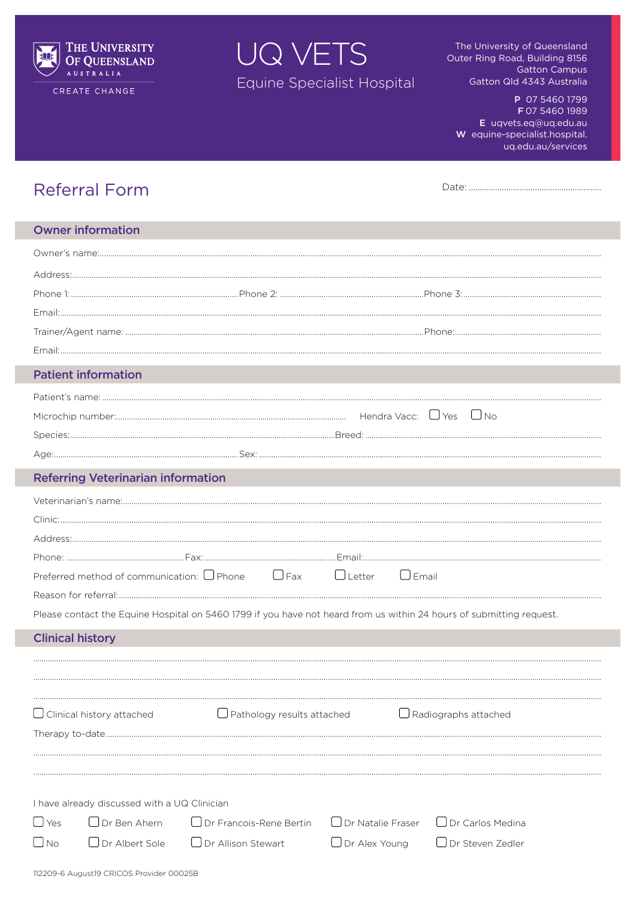

CREATE CHANGE

UQ VETS Equine Specialist Hospital

The University of Queensland Outer Ring Road, Building 8156 **Gatton Campus** Gatton Qld 4343 Australia

P 07 5460 1799 F 07 5460 1989 E uqvets.eq@uq.edu.au W equine-specialist.hospital. uq.edu.au/services

| <b>Referral Form</b> |  |  |
|----------------------|--|--|
|                      |  |  |

| <b>Owner information</b>                                                                                               |                                                        |                                             |                                                    |
|------------------------------------------------------------------------------------------------------------------------|--------------------------------------------------------|---------------------------------------------|----------------------------------------------------|
|                                                                                                                        |                                                        |                                             |                                                    |
|                                                                                                                        |                                                        |                                             |                                                    |
|                                                                                                                        |                                                        |                                             |                                                    |
|                                                                                                                        |                                                        |                                             |                                                    |
|                                                                                                                        |                                                        |                                             |                                                    |
|                                                                                                                        |                                                        |                                             |                                                    |
| <b>Patient information</b>                                                                                             |                                                        |                                             |                                                    |
|                                                                                                                        |                                                        |                                             |                                                    |
|                                                                                                                        |                                                        |                                             |                                                    |
|                                                                                                                        |                                                        |                                             |                                                    |
|                                                                                                                        |                                                        |                                             |                                                    |
| <b>Referring Veterinarian information</b>                                                                              |                                                        |                                             |                                                    |
|                                                                                                                        |                                                        |                                             |                                                    |
|                                                                                                                        |                                                        |                                             |                                                    |
| Preferred method of communication: $\Box$ Phone $\Box$ Fax $\Box$ Letter                                               |                                                        | $\bigcup$ Email                             |                                                    |
|                                                                                                                        |                                                        |                                             |                                                    |
| Please contact the Equine Hospital on 5460 1799 if you have not heard from us within 24 hours of submitting request.   |                                                        |                                             |                                                    |
| <b>Clinical history</b>                                                                                                |                                                        |                                             |                                                    |
| Clinical history attached                                                                                              | Pathology results attached                             |                                             | Radiographs attached                               |
| I have already discussed with a UQ Clinician<br>$\bigcup$ Yes<br>$\Box$ Dr Ben Ahern<br>$\bigcup$ No<br>Dr Albert Sole | □ Dr Francois-Rene Bertin<br>$\Box$ Dr Allison Stewart | $\Box$ Dr Natalie Fraser<br>■ Dr Alex Young | $\Box$ Dr Carlos Medina<br>$\Box$ Dr Steven Zedler |